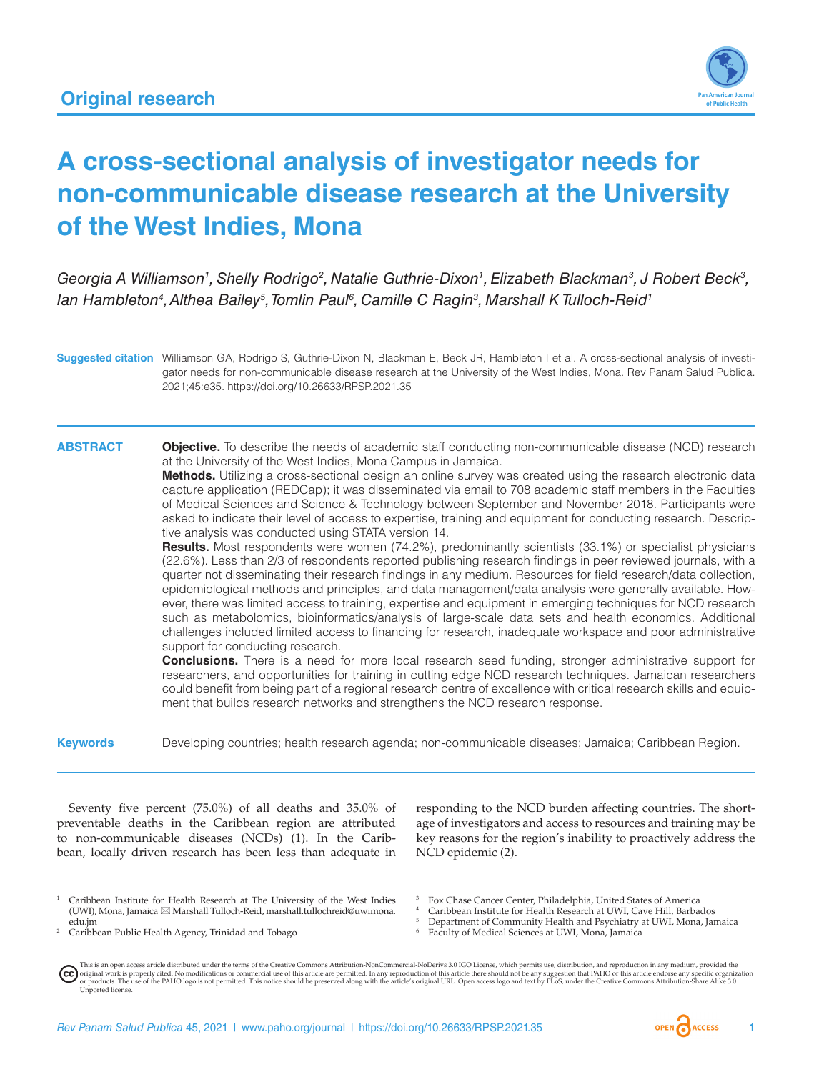

# **A cross-sectional analysis of investigator needs for non-communicable disease research at the University of the West Indies, Mona**

Georgia A Williamson<sup>1</sup>, Shelly Rodrigo<sup>2</sup>, Natalie Guthrie-Dixon<sup>1</sup>, Elizabeth Blackman<sup>3</sup>, J Robert Beck<sup>3</sup>, lan Hambleton<sup>4</sup>, Althea Bailey<sup>5</sup>, Tomlin Paul<sup>6</sup>, Camille C Ragin<sup>3</sup>, Marshall K Tulloch-Reid<sup>1</sup>

**Suggested citation** Williamson GA, Rodrigo S, Guthrie-Dixon N, Blackman E, Beck JR, Hambleton I et al. A cross-sectional analysis of investigator needs for non-communicable disease research at the University of the West Indies, Mona. Rev Panam Salud Publica. 2021;45:e35.<https://doi.org/10.26633/RPSP.2021.35>

# **ABSTRACT Objective.** To describe the needs of academic staff conducting non-communicable disease (NCD) research at the University of the West Indies, Mona Campus in Jamaica.

**Methods.** Utilizing a cross-sectional design an online survey was created using the research electronic data capture application (REDCap); it was disseminated via email to 708 academic staff members in the Faculties of Medical Sciences and Science & Technology between September and November 2018. Participants were asked to indicate their level of access to expertise, training and equipment for conducting research. Descriptive analysis was conducted using STATA version 14.

**Results.** Most respondents were women (74.2%), predominantly scientists (33.1%) or specialist physicians (22.6%). Less than 2/3 of respondents reported publishing research findings in peer reviewed journals, with a quarter not disseminating their research findings in any medium. Resources for field research/data collection, epidemiological methods and principles, and data management/data analysis were generally available. However, there was limited access to training, expertise and equipment in emerging techniques for NCD research such as metabolomics, bioinformatics/analysis of large-scale data sets and health economics. Additional challenges included limited access to financing for research, inadequate workspace and poor administrative support for conducting research.

**Conclusions.** There is a need for more local research seed funding, stronger administrative support for researchers, and opportunities for training in cutting edge NCD research techniques. Jamaican researchers could benefit from being part of a regional research centre of excellence with critical research skills and equipment that builds research networks and strengthens the NCD research response.

**Keywords** Developing countries; health research agenda; non-communicable diseases; Jamaica; Caribbean Region.

Seventy five percent (75.0%) of all deaths and 35.0% of preventable deaths in the Caribbean region are attributed to non-communicable diseases (NCDs) (1). In the Caribbean, locally driven research has been less than adequate in

responding to the NCD burden affecting countries. The shortage of investigators and access to resources and training may be key reasons for the region's inability to proactively address the NCD epidemic (2).

- <sup>4</sup> Caribbean Institute for Health Research at UWI, Cave Hill, Barbados
- <sup>5</sup> Department of Community Health and Psychiatry at UWI, Mona, Jamaica<br><sup>6</sup> Equility of Modical Sciences at UWI, Mona, Jamaica
- <sup>6</sup> Faculty of Medical Sciences at UWI, Mona, Jamaica

<sup>1</sup> Caribbean Institute for Health Research at The University of the West Indies (UWI), Mona, Jamaica \*  Marshall Tulloch-Reid, [marshall.tullochreid@uwimona.](mailto:marshall.tullochreid@uwimona.edu.jm) [edu.jm](mailto:marshall.tullochreid@uwimona.edu.jm)

<sup>2</sup> Caribbean Public Health Agency, Trinidad and Tobago

<sup>3</sup> Fox Chase Cancer Center, Philadelphia, United States of America

This is an open access article distributed under the terms of the [Creative Commons Attribution-NonCommercial-NoDerivs 3.0 IGO](https://creativecommons.org/licenses/by-nc-nd/3.0/igo/legalcode) License, which permits use, distribution, and reproduction in any medium, provided the original work is properly cited. No modifications or commercial use of this article are permitted. In any reproduction of this article there should not be any suggestion that PAHO or this article endorse any specific organ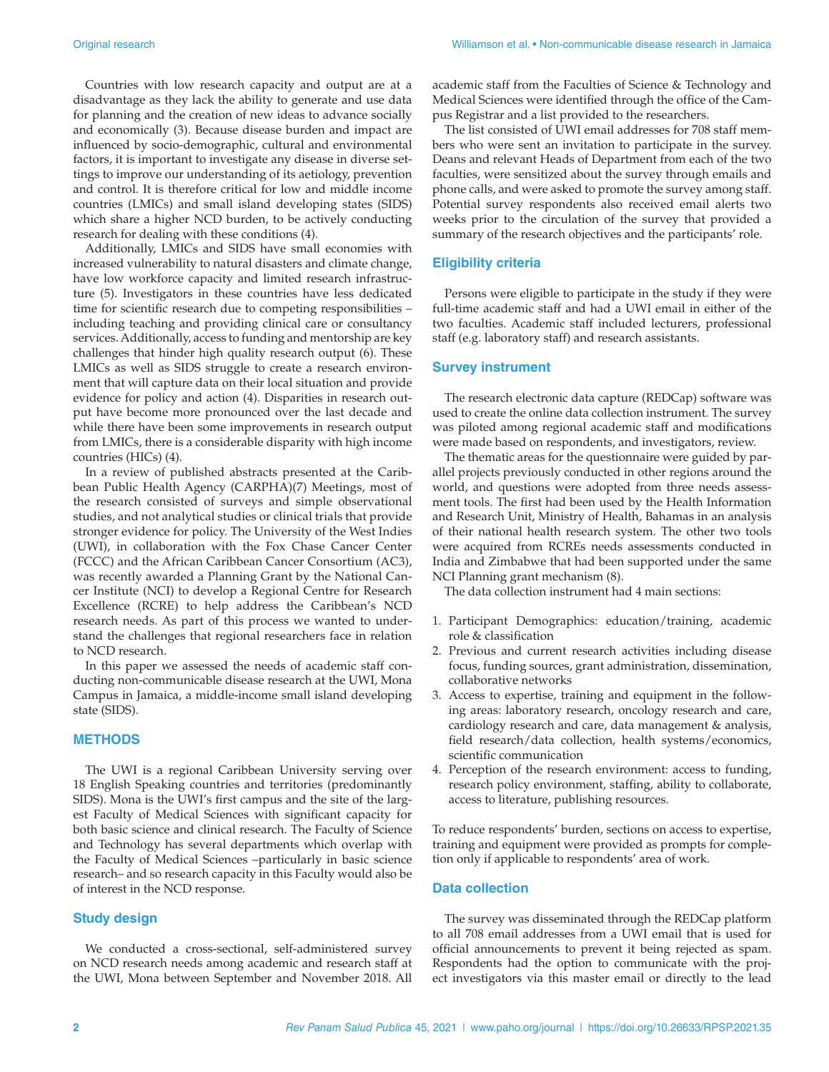Countries with low research capacity and output are at a disadvantage as they lack the ability to generate and use data for planning and the creation of new ideas to advance socially and economically (3). Because disease burden and impact are influenced by socio-demographic, cultural and environmental factors, it is important to investigate any disease in diverse settings to improve our understanding of its aetiology, prevention and control. It is therefore critical for low and middle income countries (LMICs) and small island developing states (SIDS) which share a higher NCD burden, to be actively conducting research for dealing with these conditions (4).

Additionally, LMICs and SIDS have small economies with increased vulnerability to natural disasters and climate change, have low workforce capacity and limited research infrastructure (5). Investigators in these countries have less dedicated time for scientific research due to competing responsibilities – including teaching and providing clinical care or consultancy services. Additionally, access to funding and mentorship are key challenges that hinder high quality research output (6). These LMICs as well as SIDS struggle to create a research environment that will capture data on their local situation and provide evidence for policy and action (4). Disparities in research output have become more pronounced over the last decade and while there have been some improvements in research output from LMICs, there is a considerable disparity with high income countries (HICs) (4).

In a review of published abstracts presented at the Caribbean Public Health Agency (CARPHA)(7) Meetings, most of the research consisted of surveys and simple observational studies, and not analytical studies or clinical trials that provide stronger evidence for policy. The University of the West Indies (UWI), in collaboration with the Fox Chase Cancer Center (FCCC) and the African Caribbean Cancer Consortium (AC3), was recently awarded a Planning Grant by the National Cancer Institute (NCI) to develop a Regional Centre for Research Excellence (RCRE) to help address the Caribbean's NCD research needs. As part of this process we wanted to understand the challenges that regional researchers face in relation to NCD research.

In this paper we assessed the needs of academic staff conducting non-communicable disease research at the UWI, Mona Campus in Jamaica, a middle-income small island developing state (SIDS).

# **METHODS**

The UWI is a regional Caribbean University serving over 18 English Speaking countries and territories (predominantly SIDS). Mona is the UWI's first campus and the site of the largest Faculty of Medical Sciences with significant capacity for both basic science and clinical research. The Faculty of Science and Technology has several departments which overlap with the Faculty of Medical Sciences –particularly in basic science research– and so research capacity in this Faculty would also be of interest in the NCD response.

# **Study design**

We conducted a cross-sectional, self-administered survey on NCD research needs among academic and research staff at the UWI, Mona between September and November 2018. All

academic staff from the Faculties of Science & Technology and Medical Sciences were identified through the office of the Campus Registrar and a list provided to the researchers.

The list consisted of UWI email addresses for 708 staff members who were sent an invitation to participate in the survey. Deans and relevant Heads of Department from each of the two faculties, were sensitized about the survey through emails and phone calls, and were asked to promote the survey among staff. Potential survey respondents also received email alerts two weeks prior to the circulation of the survey that provided a summary of the research objectives and the participants' role.

# **Eligibility criteria**

Persons were eligible to participate in the study if they were full-time academic staff and had a UWI email in either of the two faculties. Academic staff included lecturers, professional staff (e.g. laboratory staff) and research assistants.

#### **Survey instrument**

The research electronic data capture (REDCap) software was used to create the online data collection instrument. The survey was piloted among regional academic staff and modifications were made based on respondents, and investigators, review.

The thematic areas for the questionnaire were guided by parallel projects previously conducted in other regions around the world, and questions were adopted from three needs assessment tools. The first had been used by the Health Information and Research Unit, Ministry of Health, Bahamas in an analysis of their national health research system. The other two tools were acquired from RCREs needs assessments conducted in India and Zimbabwe that had been supported under the same NCI Planning grant mechanism (8).

The data collection instrument had 4 main sections:

- 1. Participant Demographics: education/training, academic role & classification
- 2. Previous and current research activities including disease focus, funding sources, grant administration, dissemination, collaborative networks
- 3. Access to expertise, training and equipment in the following areas: laboratory research, oncology research and care, cardiology research and care, data management & analysis, field research/data collection, health systems/economics, scientific communication
- 4. Perception of the research environment: access to funding, research policy environment, staffing, ability to collaborate, access to literature, publishing resources.

To reduce respondents' burden, sections on access to expertise, training and equipment were provided as prompts for completion only if applicable to respondents' area of work.

# **Data collection**

The survey was disseminated through the REDCap platform to all 708 email addresses from a UWI email that is used for official announcements to prevent it being rejected as spam. Respondents had the option to communicate with the project investigators via this master email or directly to the lead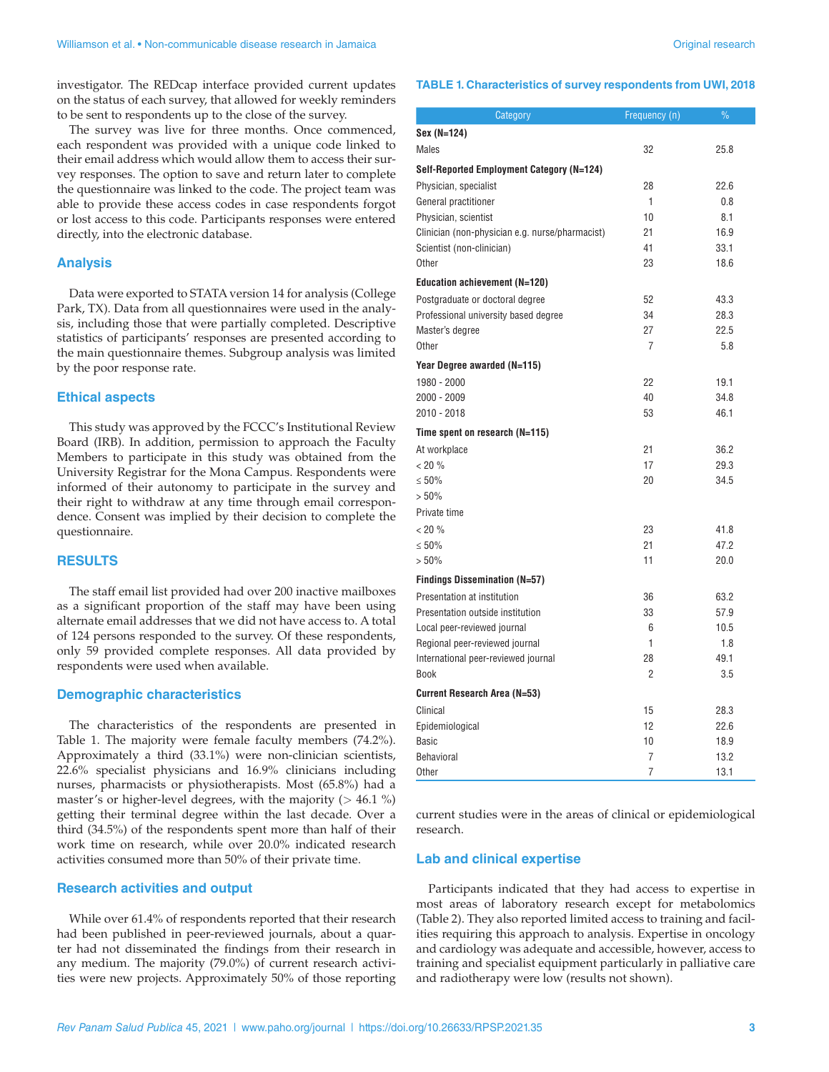investigator. The REDcap interface provided current updates on the status of each survey, that allowed for weekly reminders to be sent to respondents up to the close of the survey.

The survey was live for three months. Once commenced, each respondent was provided with a unique code linked to their email address which would allow them to access their survey responses. The option to save and return later to complete the questionnaire was linked to the code. The project team was able to provide these access codes in case respondents forgot or lost access to this code. Participants responses were entered directly, into the electronic database.

# **Analysis**

Data were exported to STATA version 14 for analysis (College Park, TX). Data from all questionnaires were used in the analysis, including those that were partially completed. Descriptive statistics of participants' responses are presented according to the main questionnaire themes. Subgroup analysis was limited by the poor response rate.

# **Ethical aspects**

This study was approved by the FCCC's Institutional Review Board (IRB). In addition, permission to approach the Faculty Members to participate in this study was obtained from the University Registrar for the Mona Campus. Respondents were informed of their autonomy to participate in the survey and their right to withdraw at any time through email correspondence. Consent was implied by their decision to complete the questionnaire.

# **RESULTS**

The staff email list provided had over 200 inactive mailboxes as a significant proportion of the staff may have been using alternate email addresses that we did not have access to. A total of 124 persons responded to the survey. Of these respondents, only 59 provided complete responses. All data provided by respondents were used when available.

# **Demographic characteristics**

The characteristics of the respondents are presented in Table 1. The majority were female faculty members (74.2%). Approximately a third (33.1%) were non-clinician scientists, 22.6% specialist physicians and 16.9% clinicians including nurses, pharmacists or physiotherapists. Most (65.8%) had a master's or higher-level degrees, with the majority ( $> 46.1 \%$ ) getting their terminal degree within the last decade. Over a third (34.5%) of the respondents spent more than half of their work time on research, while over 20.0% indicated research activities consumed more than 50% of their private time.

#### **Research activities and output**

While over 61.4% of respondents reported that their research had been published in peer-reviewed journals, about a quarter had not disseminated the findings from their research in any medium. The majority (79.0%) of current research activities were new projects. Approximately 50% of those reporting

#### **TABLE 1. Characteristics of survey respondents from UWI, 2018**

| Category                                        | Frequency (n)  | $\frac{9}{6}$ |
|-------------------------------------------------|----------------|---------------|
| Sex (N=124)                                     |                |               |
| Males                                           | 32             | 25.8          |
| Self-Reported Employment Category (N=124)       |                |               |
| Physician, specialist                           | 28             | 22.6          |
| General practitioner                            | 1              | 0.8           |
| Physician, scientist                            | 10             | 8.1           |
| Clinician (non-physician e.g. nurse/pharmacist) | 21             | 16.9          |
| Scientist (non-clinician)                       | 41             | 33.1          |
| Other                                           | 23             | 18.6          |
| <b>Education achievement (N=120)</b>            |                |               |
| Postgraduate or doctoral degree                 | 52             | 43.3          |
| Professional university based degree            | 34             | 28.3          |
| Master's degree                                 | 27             | 22.5          |
| Other                                           | $\overline{7}$ | 5.8           |
| Year Degree awarded (N=115)                     |                |               |
| 1980 - 2000                                     | 22             | 19.1          |
| 2000 - 2009                                     | 40             | 34.8          |
| 2010 - 2018                                     | 53             | 46.1          |
| Time spent on research (N=115)                  |                |               |
| At workplace                                    | 21             | 36.2          |
| < 20 %                                          | 17             | 29.3          |
| $\leq 50\%$                                     | 20             | 34.5          |
| > 50%                                           |                |               |
| Private time                                    |                |               |
| < 20 %                                          | 23             | 41.8          |
| $\leq 50\%$                                     | 21             | 47.2          |
| > 50%                                           | 11             | 20.0          |
| <b>Findings Dissemination (N=57)</b>            |                |               |
| Presentation at institution                     | 36             | 63.2          |
| Presentation outside institution                | 33             | 57.9          |
| Local peer-reviewed journal                     | 6              | 10.5          |
| Regional peer-reviewed journal                  | 1              | 1.8           |
| International peer-reviewed journal             | 28             | 49.1          |
| Book                                            | 2              | 3.5           |
| Current Research Area (N=53)                    |                |               |
| Clinical                                        | 15             | 28.3          |
| Epidemiological                                 | 12             | 22.6          |
| <b>Basic</b>                                    | 10             | 18.9          |
| Behavioral                                      | 7              | 13.2          |
| Other                                           | 7              | 13.1          |

current studies were in the areas of clinical or epidemiological research.

# **Lab and clinical expertise**

Participants indicated that they had access to expertise in most areas of laboratory research except for metabolomics (Table 2). They also reported limited access to training and facilities requiring this approach to analysis. Expertise in oncology and cardiology was adequate and accessible, however, access to training and specialist equipment particularly in palliative care and radiotherapy were low (results not shown).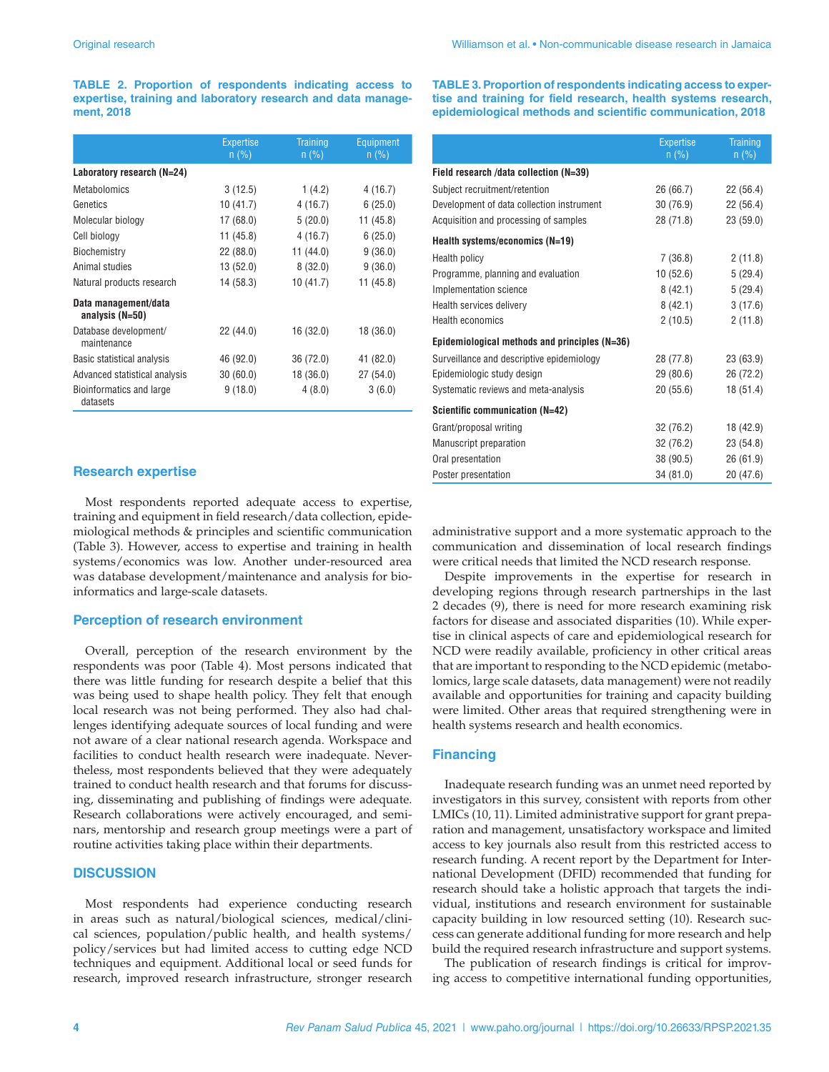**TABLE 2. Proportion of respondents indicating access to expertise, training and laboratory research and data management, 2018**

|                                         | <b>Expertise</b><br>$n$ (%) | <b>Training</b><br>$n$ (%) | <b>Equipment</b><br>$n$ (%) |  |
|-----------------------------------------|-----------------------------|----------------------------|-----------------------------|--|
| Laboratory research (N=24)              |                             |                            |                             |  |
| <b>Metabolomics</b>                     | 3(12.5)                     | 1(4.2)                     | 4(16.7)                     |  |
| Genetics                                | 10(41.7)                    | 4(16.7)                    | 6(25.0)                     |  |
| Molecular biology                       | 17(68.0)                    | 5(20.0)                    | 11(45.8)                    |  |
| Cell biology                            | 11(45.8)                    | 4(16.7)                    | 6(25.0)                     |  |
| Biochemistry                            | 22(88.0)                    | 11(44.0)                   | 9(36.0)                     |  |
| Animal studies                          | 13(52.0)                    | 8(32.0)                    | 9(36.0)                     |  |
| Natural products research               | 14 (58.3)                   | 10(41.7)                   | 11 (45.8)                   |  |
| Data management/data<br>analysis (N=50) |                             |                            |                             |  |
| Database development/<br>maintenance    | 22 (44.0)                   | 16 (32.0)                  | 18 (36.0)                   |  |
| Basic statistical analysis              | 46 (92.0)                   | 36 (72.0)                  | 41 (82.0)                   |  |
| Advanced statistical analysis           | 30(60.0)                    | 18 (36.0)                  | 27 (54.0)                   |  |
| Bioinformatics and large<br>datasets    | 9(18.0)                     | 4(8.0)                     | 3(6.0)                      |  |

### **Research expertise**

Most respondents reported adequate access to expertise, training and equipment in field research/data collection, epidemiological methods & principles and scientific communication (Table 3). However, access to expertise and training in health systems/economics was low. Another under-resourced area was database development/maintenance and analysis for bioinformatics and large-scale datasets.

#### **Perception of research environment**

Overall, perception of the research environment by the respondents was poor (Table 4). Most persons indicated that there was little funding for research despite a belief that this was being used to shape health policy. They felt that enough local research was not being performed. They also had challenges identifying adequate sources of local funding and were not aware of a clear national research agenda. Workspace and facilities to conduct health research were inadequate. Nevertheless, most respondents believed that they were adequately trained to conduct health research and that forums for discussing, disseminating and publishing of findings were adequate. Research collaborations were actively encouraged, and seminars, mentorship and research group meetings were a part of routine activities taking place within their departments.

# **DISCUSSION**

Most respondents had experience conducting research in areas such as natural/biological sciences, medical/clinical sciences, population/public health, and health systems/ policy/services but had limited access to cutting edge NCD techniques and equipment. Additional local or seed funds for research, improved research infrastructure, stronger research **TABLE 3. Proportion of respondents indicating access to expertise and training for field research, health systems research, epidemiological methods and scientific communication, 2018**

|                                               | <b>Expertise</b><br>$n$ (%) | <b>Training</b><br>$n$ (%) |
|-----------------------------------------------|-----------------------------|----------------------------|
| Field research /data collection (N=39)        |                             |                            |
| Subject recruitment/retention                 | 26 (66.7)                   | 22(56.4)                   |
| Development of data collection instrument     | 30 (76.9)                   | 22(56.4)                   |
| Acquisition and processing of samples         | 28 (71.8)                   | 23(59.0)                   |
| Health systems/economics (N=19)               |                             |                            |
| Health policy                                 | 7(36.8)                     | 2(11.8)                    |
| Programme, planning and evaluation            | 10(52.6)                    | 5(29.4)                    |
| Implementation science                        | 8(42.1)                     | 5(29.4)                    |
| Health services delivery                      | 8 (42.1)                    | 3(17.6)                    |
| <b>Health economics</b>                       | 2(10.5)                     | 2(11.8)                    |
| Epidemiological methods and principles (N=36) |                             |                            |
| Surveillance and descriptive epidemiology     | 28 (77.8)                   | 23 (63.9)                  |
| Epidemiologic study design                    | 29 (80.6)                   | 26 (72.2)                  |
| Systematic reviews and meta-analysis          | 20 (55.6)                   | 18(51.4)                   |
| Scientific communication (N=42)               |                             |                            |
| Grant/proposal writing                        | 32 (76.2)                   | 18 (42.9)                  |
| Manuscript preparation                        | 32 (76.2)                   | 23 (54.8)                  |
| Oral presentation                             | 38 (90.5)                   | 26 (61.9)                  |
| Poster presentation                           | 34 (81.0)                   | 20 (47.6)                  |

administrative support and a more systematic approach to the communication and dissemination of local research findings were critical needs that limited the NCD research response.

Despite improvements in the expertise for research in developing regions through research partnerships in the last 2 decades (9), there is need for more research examining risk factors for disease and associated disparities (10). While expertise in clinical aspects of care and epidemiological research for NCD were readily available, proficiency in other critical areas that are important to responding to the NCD epidemic (metabolomics, large scale datasets, data management) were not readily available and opportunities for training and capacity building were limited. Other areas that required strengthening were in health systems research and health economics.

# **Financing**

Inadequate research funding was an unmet need reported by investigators in this survey, consistent with reports from other LMICs (10, 11). Limited administrative support for grant preparation and management, unsatisfactory workspace and limited access to key journals also result from this restricted access to research funding. A recent report by the Department for International Development (DFID) recommended that funding for research should take a holistic approach that targets the individual, institutions and research environment for sustainable capacity building in low resourced setting (10). Research success can generate additional funding for more research and help build the required research infrastructure and support systems.

The publication of research findings is critical for improving access to competitive international funding opportunities,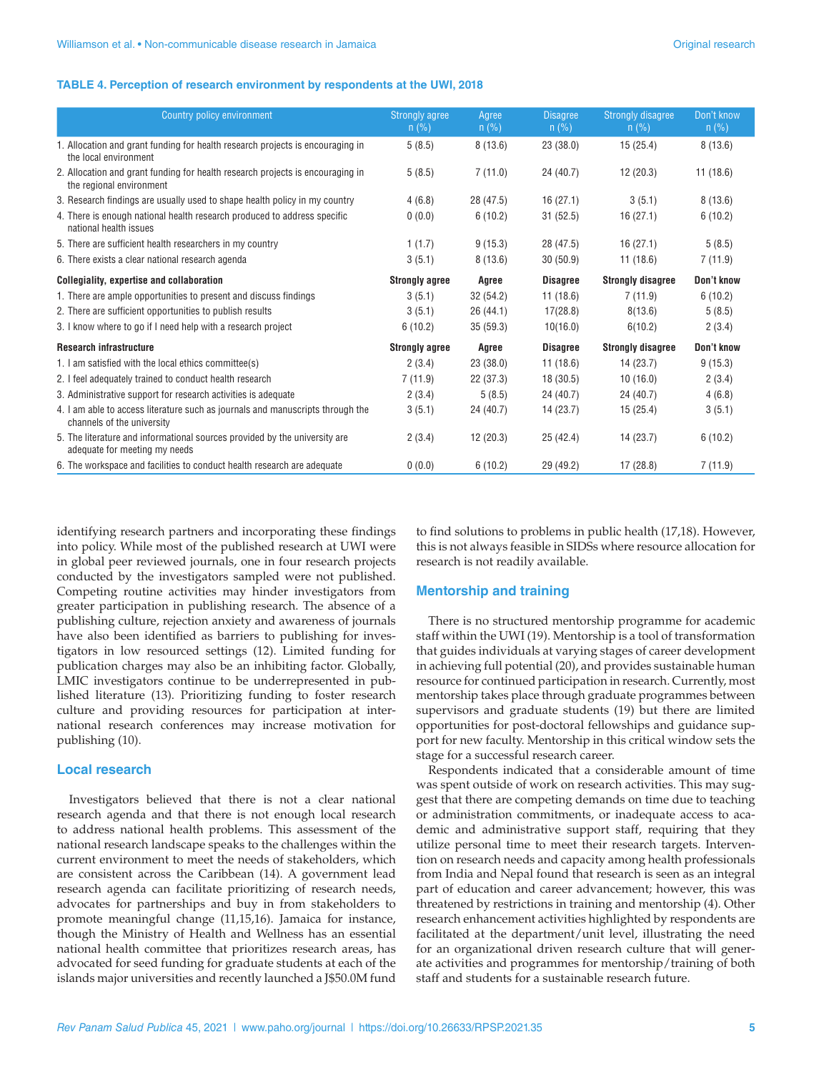#### **TABLE 4. Perception of research environment by respondents at the UWI, 2018**

| Country policy environment                                                                                   | <b>Strongly agree</b><br>$n$ (%) | Agree<br>n (%) | <b>Disagree</b><br>$n$ (%) | <b>Strongly disagree</b><br>$n$ (%) | Don't know<br>$n$ (%) |
|--------------------------------------------------------------------------------------------------------------|----------------------------------|----------------|----------------------------|-------------------------------------|-----------------------|
| 1. Allocation and grant funding for health research projects is encouraging in<br>the local environment      | 5(8.5)                           | 8(13.6)        | 23(38.0)                   | 15(25.4)                            | 8(13.6)               |
| 2. Allocation and grant funding for health research projects is encouraging in<br>the regional environment   | 5(8.5)                           | 7(11.0)        | 24 (40.7)                  | 12(20.3)                            | 11(18.6)              |
| 3. Research findings are usually used to shape health policy in my country                                   | 4(6.8)                           | 28 (47.5)      | 16(27.1)                   | 3(5.1)                              | 8(13.6)               |
| 4. There is enough national health research produced to address specific<br>national health issues           | 0(0.0)                           | 6(10.2)        | 31(52.5)                   | 16(27.1)                            | 6(10.2)               |
| 5. There are sufficient health researchers in my country                                                     | 1(1.7)                           | 9(15.3)        | 28 (47.5)                  | 16(27.1)                            | 5(8.5)                |
| 6. There exists a clear national research agenda                                                             | 3(5.1)                           | 8(13.6)        | 30(50.9)                   | 11(18.6)                            | 7(11.9)               |
| <b>Collegiality, expertise and collaboration</b>                                                             | <b>Strongly agree</b>            | Agree          | <b>Disagree</b>            | <b>Strongly disagree</b>            | Don't know            |
| 1. There are ample opportunities to present and discuss findings                                             | 3(5.1)                           | 32 (54.2)      | 11(18.6)                   | 7(11.9)                             | 6(10.2)               |
| 2. There are sufficient opportunities to publish results                                                     | 3(5.1)                           | 26(44.1)       | 17(28.8)                   | 8(13.6)                             | 5(8.5)                |
| 3. I know where to go if I need help with a research project                                                 | 6(10.2)                          | 35(59.3)       | 10(16.0)                   | 6(10.2)                             | 2(3.4)                |
| <b>Research infrastructure</b>                                                                               | <b>Strongly agree</b>            | Agree          | <b>Disagree</b>            | <b>Strongly disagree</b>            | Don't know            |
| 1. I am satisfied with the local ethics committee(s)                                                         | 2(3.4)                           | 23(38.0)       | 11(18.6)                   | 14(23.7)                            | 9(15.3)               |
| 2. I feel adequately trained to conduct health research                                                      | 7(11.9)                          | 22 (37.3)      | 18(30.5)                   | 10(16.0)                            | 2(3.4)                |
| 3. Administrative support for research activities is adequate                                                | 2(3.4)                           | 5(8.5)         | 24 (40.7)                  | 24 (40.7)                           | 4(6.8)                |
| 4. I am able to access literature such as journals and manuscripts through the<br>channels of the university | 3(5.1)                           | 24 (40.7)      | 14 (23.7)                  | 15(25.4)                            | 3(5.1)                |
| 5. The literature and informational sources provided by the university are<br>adequate for meeting my needs  | 2(3.4)                           | 12(20.3)       | 25(42.4)                   | 14(23.7)                            | 6(10.2)               |
| 6. The workspace and facilities to conduct health research are adequate                                      | 0(0.0)                           | 6(10.2)        | 29 (49.2)                  | 17(28.8)                            | 7(11.9)               |

identifying research partners and incorporating these findings into policy. While most of the published research at UWI were in global peer reviewed journals, one in four research projects conducted by the investigators sampled were not published. Competing routine activities may hinder investigators from greater participation in publishing research. The absence of a publishing culture, rejection anxiety and awareness of journals have also been identified as barriers to publishing for investigators in low resourced settings (12). Limited funding for publication charges may also be an inhibiting factor. Globally, LMIC investigators continue to be underrepresented in published literature (13). Prioritizing funding to foster research culture and providing resources for participation at international research conferences may increase motivation for publishing (10).

# **Local research**

Investigators believed that there is not a clear national research agenda and that there is not enough local research to address national health problems. This assessment of the national research landscape speaks to the challenges within the current environment to meet the needs of stakeholders, which are consistent across the Caribbean (14). A government lead research agenda can facilitate prioritizing of research needs, advocates for partnerships and buy in from stakeholders to promote meaningful change (11,15,16). Jamaica for instance, though the Ministry of Health and Wellness has an essential national health committee that prioritizes research areas, has advocated for seed funding for graduate students at each of the islands major universities and recently launched a J\$50.0M fund

to find solutions to problems in public health (17,18). However, this is not always feasible in SIDSs where resource allocation for research is not readily available.

# **Mentorship and training**

There is no structured mentorship programme for academic staff within the UWI (19). Mentorship is a tool of transformation that guides individuals at varying stages of career development in achieving full potential (20), and provides sustainable human resource for continued participation in research. Currently, most mentorship takes place through graduate programmes between supervisors and graduate students (19) but there are limited opportunities for post-doctoral fellowships and guidance support for new faculty. Mentorship in this critical window sets the stage for a successful research career.

Respondents indicated that a considerable amount of time was spent outside of work on research activities. This may suggest that there are competing demands on time due to teaching or administration commitments, or inadequate access to academic and administrative support staff, requiring that they utilize personal time to meet their research targets. Intervention on research needs and capacity among health professionals from India and Nepal found that research is seen as an integral part of education and career advancement; however, this was threatened by restrictions in training and mentorship (4). Other research enhancement activities highlighted by respondents are facilitated at the department/unit level, illustrating the need for an organizational driven research culture that will generate activities and programmes for mentorship/training of both staff and students for a sustainable research future.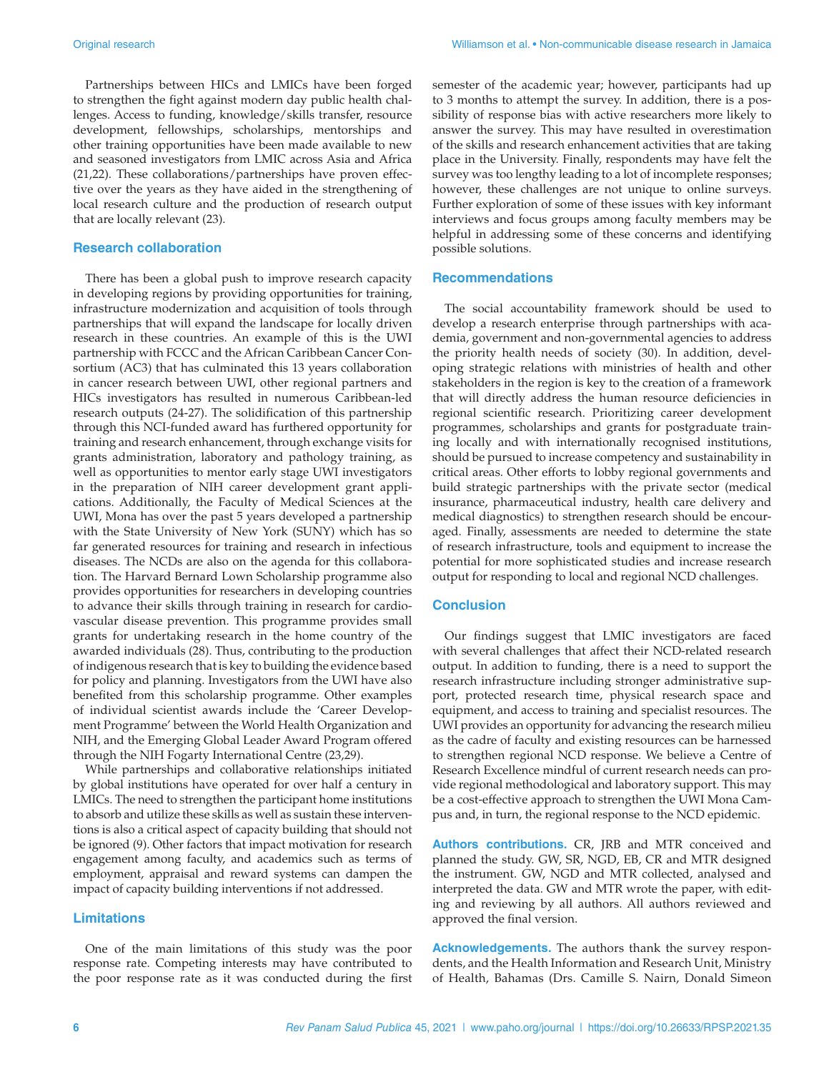Partnerships between HICs and LMICs have been forged to strengthen the fight against modern day public health challenges. Access to funding, knowledge/skills transfer, resource development, fellowships, scholarships, mentorships and other training opportunities have been made available to new and seasoned investigators from LMIC across Asia and Africa (21,22). These collaborations/partnerships have proven effective over the years as they have aided in the strengthening of local research culture and the production of research output that are locally relevant (23).

# **Research collaboration**

There has been a global push to improve research capacity in developing regions by providing opportunities for training, infrastructure modernization and acquisition of tools through partnerships that will expand the landscape for locally driven research in these countries. An example of this is the UWI partnership with FCCC and the African Caribbean Cancer Consortium (AC3) that has culminated this 13 years collaboration in cancer research between UWI, other regional partners and HICs investigators has resulted in numerous Caribbean-led research outputs (24-27). The solidification of this partnership through this NCI-funded award has furthered opportunity for training and research enhancement, through exchange visits for grants administration, laboratory and pathology training, as well as opportunities to mentor early stage UWI investigators in the preparation of NIH career development grant applications. Additionally, the Faculty of Medical Sciences at the UWI, Mona has over the past 5 years developed a partnership with the State University of New York (SUNY) which has so far generated resources for training and research in infectious diseases. The NCDs are also on the agenda for this collaboration. The Harvard Bernard Lown Scholarship programme also provides opportunities for researchers in developing countries to advance their skills through training in research for cardiovascular disease prevention. This programme provides small grants for undertaking research in the home country of the awarded individuals (28). Thus, contributing to the production of indigenous research that is key to building the evidence based for policy and planning. Investigators from the UWI have also benefited from this scholarship programme. Other examples of individual scientist awards include the 'Career Development Programme' between the World Health Organization and NIH, and the Emerging Global Leader Award Program offered through the NIH Fogarty International Centre (23,29).

While partnerships and collaborative relationships initiated by global institutions have operated for over half a century in LMICs. The need to strengthen the participant home institutions to absorb and utilize these skills as well as sustain these interventions is also a critical aspect of capacity building that should not be ignored (9). Other factors that impact motivation for research engagement among faculty, and academics such as terms of employment, appraisal and reward systems can dampen the impact of capacity building interventions if not addressed.

# **Limitations**

One of the main limitations of this study was the poor response rate. Competing interests may have contributed to the poor response rate as it was conducted during the first

semester of the academic year; however, participants had up to 3 months to attempt the survey. In addition, there is a possibility of response bias with active researchers more likely to answer the survey. This may have resulted in overestimation of the skills and research enhancement activities that are taking place in the University. Finally, respondents may have felt the survey was too lengthy leading to a lot of incomplete responses; however, these challenges are not unique to online surveys. Further exploration of some of these issues with key informant interviews and focus groups among faculty members may be helpful in addressing some of these concerns and identifying possible solutions.

#### **Recommendations**

The social accountability framework should be used to develop a research enterprise through partnerships with academia, government and non-governmental agencies to address the priority health needs of society (30). In addition, developing strategic relations with ministries of health and other stakeholders in the region is key to the creation of a framework that will directly address the human resource deficiencies in regional scientific research. Prioritizing career development programmes, scholarships and grants for postgraduate training locally and with internationally recognised institutions, should be pursued to increase competency and sustainability in critical areas. Other efforts to lobby regional governments and build strategic partnerships with the private sector (medical insurance, pharmaceutical industry, health care delivery and medical diagnostics) to strengthen research should be encouraged. Finally, assessments are needed to determine the state of research infrastructure, tools and equipment to increase the potential for more sophisticated studies and increase research output for responding to local and regional NCD challenges.

# **Conclusion**

Our findings suggest that LMIC investigators are faced with several challenges that affect their NCD-related research output. In addition to funding, there is a need to support the research infrastructure including stronger administrative support, protected research time, physical research space and equipment, and access to training and specialist resources. The UWI provides an opportunity for advancing the research milieu as the cadre of faculty and existing resources can be harnessed to strengthen regional NCD response. We believe a Centre of Research Excellence mindful of current research needs can provide regional methodological and laboratory support. This may be a cost-effective approach to strengthen the UWI Mona Campus and, in turn, the regional response to the NCD epidemic.

**Authors contributions.** CR, JRB and MTR conceived and planned the study. GW, SR, NGD, EB, CR and MTR designed the instrument. GW, NGD and MTR collected, analysed and interpreted the data. GW and MTR wrote the paper, with editing and reviewing by all authors. All authors reviewed and approved the final version.

**Acknowledgements.** The authors thank the survey respondents, and the Health Information and Research Unit, Ministry of Health, Bahamas (Drs. Camille S. Nairn, Donald Simeon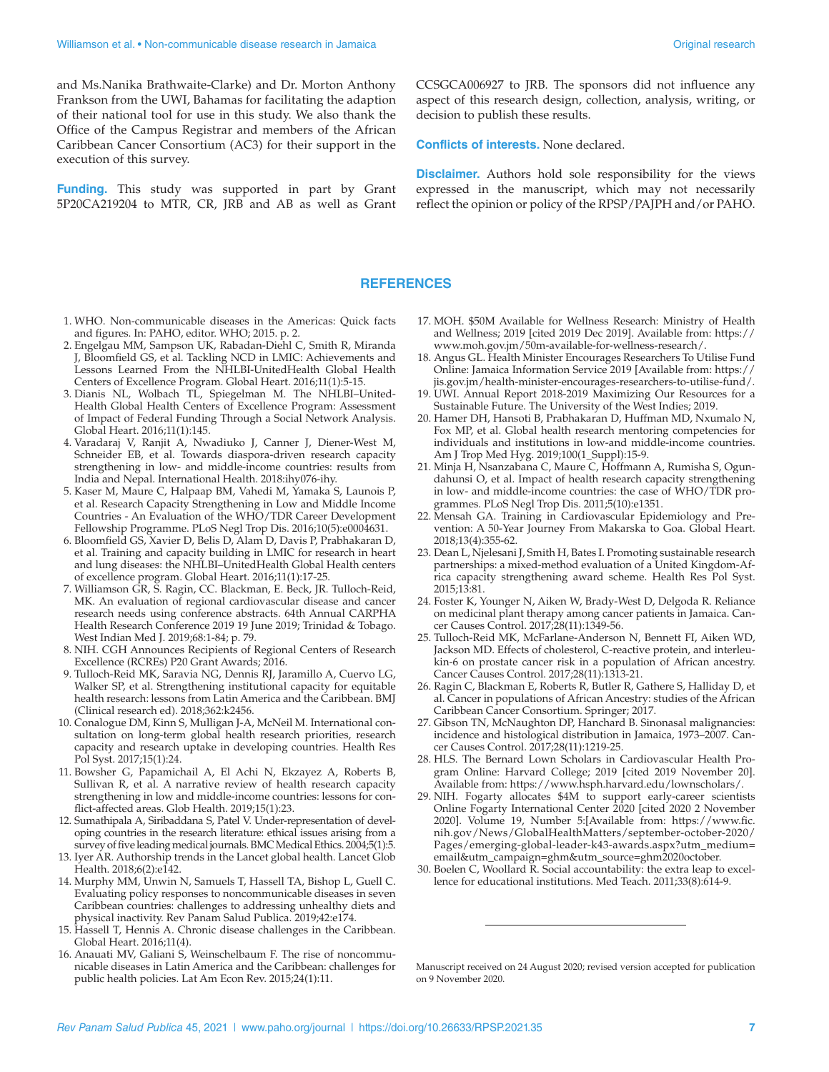and Ms.Nanika Brathwaite-Clarke) and Dr. Morton Anthony Frankson from the UWI, Bahamas for facilitating the adaption of their national tool for use in this study. We also thank the Office of the Campus Registrar and members of the African Caribbean Cancer Consortium (AC3) for their support in the execution of this survey.

**Funding.** This study was supported in part by Grant 5P20CA219204 to MTR, CR, JRB and AB as well as Grant CCSGCA006927 to JRB. The sponsors did not influence any aspect of this research design, collection, analysis, writing, or decision to publish these results.

**Conflicts of interests.** None declared.

**Disclaimer.** Authors hold sole responsibility for the views expressed in the manuscript, which may not necessarily reflect the opinion or policy of the RPSP/PAJPH and/or PAHO.

# **REFERENCES**

- 1. WHO. Non-communicable diseases in the Americas: Quick facts and figures. In: PAHO, editor. WHO; 2015. p. 2.
- 2. Engelgau MM, Sampson UK, Rabadan-Diehl C, Smith R, Miranda J, Bloomfield GS, et al. Tackling NCD in LMIC: Achievements and Lessons Learned From the NHLBI-UnitedHealth Global Health Centers of Excellence Program. Global Heart. 2016;11(1):5-15.
- 3. Dianis NL, Wolbach TL, Spiegelman M. The NHLBI–United-Health Global Health Centers of Excellence Program: Assessment of Impact of Federal Funding Through a Social Network Analysis. Global Heart. 2016;11(1):145.
- 4. Varadaraj V, Ranjit A, Nwadiuko J, Canner J, Diener-West M, Schneider EB, et al. Towards diaspora-driven research capacity strengthening in low- and middle-income countries: results from India and Nepal. International Health. 2018:ihy076-ihy.
- 5. Kaser M, Maure C, Halpaap BM, Vahedi M, Yamaka S, Launois P, et al. Research Capacity Strengthening in Low and Middle Income Countries - An Evaluation of the WHO/TDR Career Development Fellowship Programme. PLoS Negl Trop Dis. 2016;10(5):e0004631.
- 6. Bloomfield GS, Xavier D, Belis D, Alam D, Davis P, Prabhakaran D, et al. Training and capacity building in LMIC for research in heart and lung diseases: the NHLBI–UnitedHealth Global Health centers of excellence program. Global Heart. 2016;11(1):17-25.
- 7. Williamson GR, S. Ragin, CC. Blackman, E. Beck, JR. Tulloch-Reid, MK. An evaluation of regional cardiovascular disease and cancer research needs using conference abstracts. 64th Annual CARPHA Health Research Conference 2019 19 June 2019; Trinidad & Tobago. West Indian Med J. 2019;68:1-84; p. 79.
- 8. NIH. CGH Announces Recipients of Regional Centers of Research Excellence (RCREs) P20 Grant Awards; 2016.
- 9. Tulloch-Reid MK, Saravia NG, Dennis RJ, Jaramillo A, Cuervo LG, Walker SP, et al. Strengthening institutional capacity for equitable health research: lessons from Latin America and the Caribbean. BMJ (Clinical research ed). 2018;362:k2456.
- 10. Conalogue DM, Kinn S, Mulligan J-A, McNeil M. International consultation on long-term global health research priorities, research capacity and research uptake in developing countries. Health Res Pol Syst. 2017;15(1):24.
- 11. Bowsher G, Papamichail A, El Achi N, Ekzayez A, Roberts B, Sullivan R, et al. A narrative review of health research capacity strengthening in low and middle-income countries: lessons for conflict-affected areas. Glob Health. 2019;15(1):23.
- 12. Sumathipala A, Siribaddana S, Patel V. Under-representation of developing countries in the research literature: ethical issues arising from a survey of five leading medical journals. BMC Medical Ethics. 2004;5(1):5.
- 13. Iyer AR. Authorship trends in the Lancet global health. Lancet Glob Health. 2018;6(2):e142.
- 14. Murphy MM, Unwin N, Samuels T, Hassell TA, Bishop L, Guell C. Evaluating policy responses to noncommunicable diseases in seven Caribbean countries: challenges to addressing unhealthy diets and physical inactivity. Rev Panam Salud Publica. 2019;42:e174.
- 15. Hassell T, Hennis A. Chronic disease challenges in the Caribbean. Global Heart. 2016;11(4).
- 16. Anauati MV, Galiani S, Weinschelbaum F. The rise of noncommunicable diseases in Latin America and the Caribbean: challenges for public health policies. Lat Am Econ Rev. 2015;24(1):11.
- 17. MOH. \$50M Available for Wellness Research: Ministry of Health and Wellness; 2019 [cited 2019 Dec 2019]. Available from: [https://](https://www.moh.gov.jm/50m-available-for-wellness-research/) [www.moh.gov.jm/50m-available-for-wellness-research/](https://www.moh.gov.jm/50m-available-for-wellness-research/).
- 18. Angus GL. Health Minister Encourages Researchers To Utilise Fund Online: Jamaica Information Service 2019 [Available from: [https://](https://jis.gov.jm/health-minister-encourages-researchers-to-utilise-fund/) [jis.gov.jm/health-minister-encourages-researchers-to-utilise-fund/.](https://jis.gov.jm/health-minister-encourages-researchers-to-utilise-fund/)
- 19. UWI. Annual Report 2018-2019 Maximizing Our Resources for a Sustainable Future. The University of the West Indies; 2019.
- 20. Hamer DH, Hansoti B, Prabhakaran D, Huffman MD, Nxumalo N, Fox MP, et al. Global health research mentoring competencies for individuals and institutions in low-and middle-income countries. Am J Trop Med Hyg. 2019;100(1\_Suppl):15-9.
- 21. Minja H, Nsanzabana C, Maure C, Hoffmann A, Rumisha S, Ogundahunsi O, et al. Impact of health research capacity strengthening in low- and middle-income countries: the case of WHO/TDR programmes. PLoS Negl Trop Dis. 2011;5(10):e1351.
- 22. Mensah GA. Training in Cardiovascular Epidemiology and Prevention: A 50-Year Journey From Makarska to Goa. Global Heart. 2018;13(4):355-62.
- 23. Dean L, Njelesani J, Smith H, Bates I. Promoting sustainable research partnerships: a mixed-method evaluation of a United Kingdom-Africa capacity strengthening award scheme. Health Res Pol Syst. 2015;13:81.
- 24. Foster K, Younger N, Aiken W, Brady-West D, Delgoda R. Reliance on medicinal plant therapy among cancer patients in Jamaica. Cancer Causes Control. 2017;28(11):1349-56.
- 25. Tulloch-Reid MK, McFarlane-Anderson N, Bennett FI, Aiken WD, Jackson MD. Effects of cholesterol, C-reactive protein, and interleukin-6 on prostate cancer risk in a population of African ancestry. Cancer Causes Control. 2017;28(11):1313-21.
- 26. Ragin C, Blackman E, Roberts R, Butler R, Gathere S, Halliday D, et al. Cancer in populations of African Ancestry: studies of the African Caribbean Cancer Consortium. Springer; 2017.
- 27. Gibson TN, McNaughton DP, Hanchard B. Sinonasal malignancies: incidence and histological distribution in Jamaica, 1973–2007. Cancer Causes Control. 2017;28(11):1219-25.
- 28. HLS. The Bernard Lown Scholars in Cardiovascular Health Program Online: Harvard College; 2019 [cited 2019 November 20]. Available from: [https://www.hsph.harvard.edu/lownscholars/.](https://www.hsph.harvard.edu/lownscholars/)
- 29. NIH. Fogarty allocates \$4M to support early-career scientists Online Fogarty International Center 2020 [cited 2020 2 November 2020]. Volume 19, Number 5:[Available from: [https://www.fic.](https://www.fic.nih.gov/News/GlobalHealthMatters/september-october-2020/Pages/emerging-global-leader-k43-awards.aspx?utm_medium=email&utm_campaign=ghm&utm_source=ghm2020october) [nih.gov/News/GlobalHealthMatters/september-october-2020/](https://www.fic.nih.gov/News/GlobalHealthMatters/september-october-2020/Pages/emerging-global-leader-k43-awards.aspx?utm_medium=email&utm_campaign=ghm&utm_source=ghm2020october) [Pages/emerging-global-leader-k43-awards.aspx?utm\\_medium=](https://www.fic.nih.gov/News/GlobalHealthMatters/september-october-2020/Pages/emerging-global-leader-k43-awards.aspx?utm_medium=email&utm_campaign=ghm&utm_source=ghm2020october) [email&utm\\_campaign=ghm&utm\\_source=ghm2020october](https://www.fic.nih.gov/News/GlobalHealthMatters/september-october-2020/Pages/emerging-global-leader-k43-awards.aspx?utm_medium=email&utm_campaign=ghm&utm_source=ghm2020october).
- 30. Boelen C, Woollard R. Social accountability: the extra leap to excellence for educational institutions. Med Teach. 2011;33(8):614-9.

Manuscript received on 24 August 2020; revised version accepted for publication on 9 November 2020.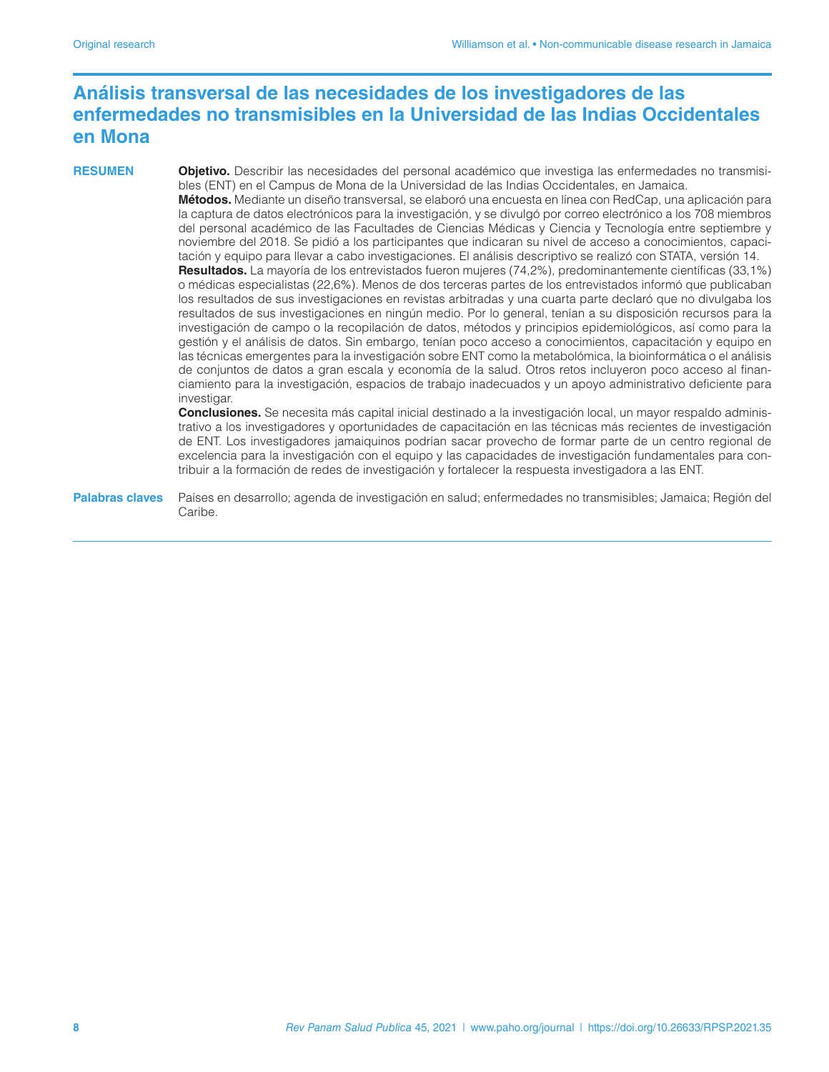# **Análisis transversal de las necesidades de los investigadores de las enfermedades no transmisibles en la Universidad de las Indias Occidentales en Mona**

**RESUMEN Objetivo.** Describir las necesidades del personal académico que investiga las enfermedades no transmisibles (ENT) en el Campus de Mona de la Universidad de las Indias Occidentales, en Jamaica.

**Métodos.** Mediante un diseño transversal, se elaboró una encuesta en línea con RedCap, una aplicación para la captura de datos electrónicos para la investigación, y se divulgó por correo electrónico a los 708 miembros del personal académico de las Facultades de Ciencias Médicas y Ciencia y Tecnología entre septiembre y noviembre del 2018. Se pidió a los participantes que indicaran su nivel de acceso a conocimientos, capacitación y equipo para llevar a cabo investigaciones. El análisis descriptivo se realizó con STATA, versión 14.

**Resultados.** La mayoría de los entrevistados fueron mujeres (74,2%), predominantemente científicas (33,1%) o médicas especialistas (22,6%). Menos de dos terceras partes de los entrevistados informó que publicaban los resultados de sus investigaciones en revistas arbitradas y una cuarta parte declaró que no divulgaba los resultados de sus investigaciones en ningún medio. Por lo general, tenían a su disposición recursos para la investigación de campo o la recopilación de datos, métodos y principios epidemiológicos, así como para la gestión y el análisis de datos. Sin embargo, tenían poco acceso a conocimientos, capacitación y equipo en las técnicas emergentes para la investigación sobre ENT como la metabolómica, la bioinformática o el análisis de conjuntos de datos a gran escala y economía de la salud. Otros retos incluyeron poco acceso al financiamiento para la investigación, espacios de trabajo inadecuados y un apoyo administrativo deficiente para investigar.

**Conclusiones.** Se necesita más capital inicial destinado a la investigación local, un mayor respaldo administrativo a los investigadores y oportunidades de capacitación en las técnicas más recientes de investigación de ENT. Los investigadores jamaiquinos podrían sacar provecho de formar parte de un centro regional de excelencia para la investigación con el equipo y las capacidades de investigación fundamentales para contribuir a la formación de redes de investigación y fortalecer la respuesta investigadora a las ENT.

**Palabras claves** Países en desarrollo; agenda de investigación en salud; enfermedades no transmisibles; Jamaica; Región del Caribe.